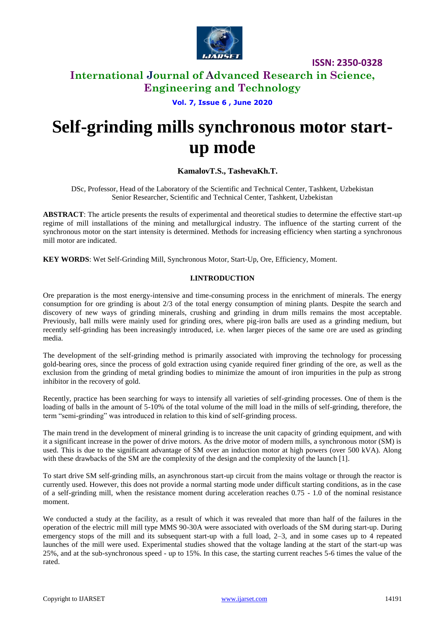

# **International Journal of Advanced Research in Science, Engineering and Technology**

**Vol. 7, Issue 6 , June 2020**

# **Self-grinding mills synchronous motor startup mode**

## **KamalovT.S., TashevaKh.T.**

DSc, Professor, Head of the Laboratory of the Scientific and Technical Center, Tashkent, Uzbekistan Senior Researcher, Scientific and Technical Center, Tashkent, Uzbekistan

**ABSTRACT**: The article presents the results of experimental and theoretical studies to determine the effective start-up regime of mill installations of the mining and metallurgical industry. The influence of the starting current of the synchronous motor on the start intensity is determined. Methods for increasing efficiency when starting a synchronous mill motor are indicated.

**KEY WORDS**: Wet Self-Grinding Mill, Synchronous Motor, Start-Up, Ore, Efficiency, Moment.

## **I.INTRODUCTION**

Ore preparation is the most energy-intensive and time-consuming process in the enrichment of minerals. The energy consumption for ore grinding is about 2/3 of the total energy consumption of mining plants. Despite the search and discovery of new ways of grinding minerals, crushing and grinding in drum mills remains the most acceptable. Previously, ball mills were mainly used for grinding ores, where pig-iron balls are used as a grinding medium, but recently self-grinding has been increasingly introduced, i.e. when larger pieces of the same ore are used as grinding media.

The development of the self-grinding method is primarily associated with improving the technology for processing gold-bearing ores, since the process of gold extraction using cyanide required finer grinding of the ore, as well as the exclusion from the grinding of metal grinding bodies to minimize the amount of iron impurities in the pulp as strong inhibitor in the recovery of gold.

Recently, practice has been searching for ways to intensify all varieties of self-grinding processes. One of them is the loading of balls in the amount of 5-10% of the total volume of the mill load in the mills of self-grinding, therefore, the term "semi-grinding" was introduced in relation to this kind of self-grinding process.

The main trend in the development of mineral grinding is to increase the unit capacity of grinding equipment, and with it a significant increase in the power of drive motors. As the drive motor of modern mills, a synchronous motor (SM) is used. This is due to the significant advantage of SM over an induction motor at high powers (over 500 kVA). Along with these drawbacks of the SM are the complexity of the design and the complexity of the launch [1].

To start drive SM self-grinding mills, an asynchronous start-up circuit from the mains voltage or through the reactor is currently used. However, this does not provide a normal starting mode under difficult starting conditions, as in the case of a self-grinding mill, when the resistance moment during acceleration reaches 0.75 - 1.0 of the nominal resistance moment.

We conducted a study at the facility, as a result of which it was revealed that more than half of the failures in the operation of the electric mill mill type MMS 90-30A were associated with overloads of the SM during start-up. During emergency stops of the mill and its subsequent start-up with a full load, 2–3, and in some cases up to 4 repeated launches of the mill were used. Experimental studies showed that the voltage landing at the start of the start-up was 25%, and at the sub-synchronous speed - up to 15%. In this case, the starting current reaches 5-6 times the value of the rated.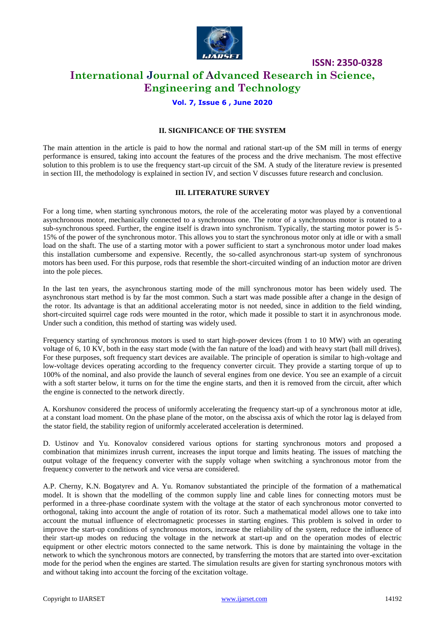

# **International Journal of Advanced Research in Science, Engineering and Technology**

## **Vol. 7, Issue 6 , June 2020**

#### **II. SIGNIFICANCE OF THE SYSTEM**

The main attention in the article is paid to how the normal and rational start-up of the SM mill in terms of energy performance is ensured, taking into account the features of the process and the drive mechanism. The most effective solution to this problem is to use the frequency start-up circuit of the SM. A study of the literature review is presented in section III, the methodology is explained in section IV, and section V discusses future research and conclusion.

#### **III. LITERATURE SURVEY**

For a long time, when starting synchronous motors, the role of the accelerating motor was played by a conventional asynchronous motor, mechanically connected to a synchronous one. The rotor of a synchronous motor is rotated to a sub-synchronous speed. Further, the engine itself is drawn into synchronism. Typically, the starting motor power is 5- 15% of the power of the synchronous motor. This allows you to start the synchronous motor only at idle or with a small load on the shaft. The use of a starting motor with a power sufficient to start a synchronous motor under load makes this installation cumbersome and expensive. Recently, the so-called asynchronous start-up system of synchronous motors has been used. For this purpose, rods that resemble the short-circuited winding of an induction motor are driven into the pole pieces.

In the last ten years, the asynchronous starting mode of the mill synchronous motor has been widely used. The asynchronous start method is by far the most common. Such a start was made possible after a change in the design of the rotor. Its advantage is that an additional accelerating motor is not needed, since in addition to the field winding, short-circuited squirrel cage rods were mounted in the rotor, which made it possible to start it in asynchronous mode. Under such a condition, this method of starting was widely used.

Frequency starting of synchronous motors is used to start high-power devices (from 1 to 10 MW) with an operating voltage of 6, 10 KV, both in the easy start mode (with the fan nature of the load) and with heavy start (ball mill drives). For these purposes, soft frequency start devices are available. The principle of operation is similar to high-voltage and low-voltage devices operating according to the frequency converter circuit. They provide a starting torque of up to 100% of the nominal, and also provide the launch of several engines from one device. You see an example of a circuit with a soft starter below, it turns on for the time the engine starts, and then it is removed from the circuit, after which the engine is connected to the network directly.

A. Korshunov considered the process of uniformly accelerating the frequency start-up of a synchronous motor at idle, at a constant load moment. On the phase plane of the motor, on the abscissa axis of which the rotor lag is delayed from the stator field, the stability region of uniformly accelerated acceleration is determined.

D. Ustinov and Yu. Konovalov considered various options for starting synchronous motors and proposed a combination that minimizes inrush current, increases the input torque and limits heating. The issues of matching the output voltage of the frequency converter with the supply voltage when switching a synchronous motor from the frequency converter to the network and vice versa are considered.

A.P. Cherny, K.N. Bogatyrev and A. Yu. Romanov substantiated the principle of the formation of a mathematical model. It is shown that the modelling of the common supply line and cable lines for connecting motors must be performed in a three-phase coordinate system with the voltage at the stator of each synchronous motor converted to orthogonal, taking into account the angle of rotation of its rotor. Such a mathematical model allows one to take into account the mutual influence of electromagnetic processes in starting engines. This problem is solved in order to improve the start-up conditions of synchronous motors, increase the reliability of the system, reduce the influence of their start-up modes on reducing the voltage in the network at start-up and on the operation modes of electric equipment or other electric motors connected to the same network. This is done by maintaining the voltage in the network to which the synchronous motors are connected, by transferring the motors that are started into over-excitation mode for the period when the engines are started. The simulation results are given for starting synchronous motors with and without taking into account the forcing of the excitation voltage.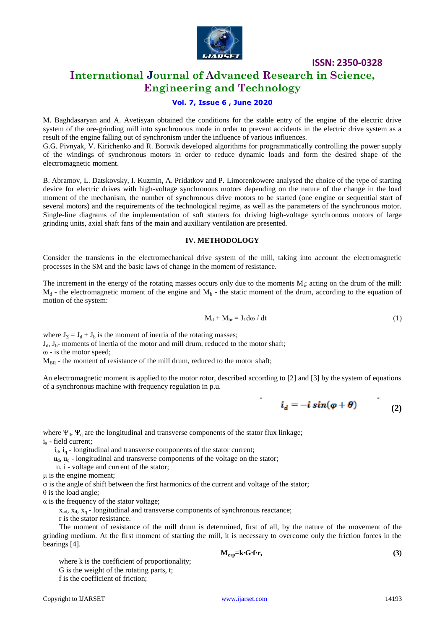

# **International Journal of Advanced Research in Science, Engineering and Technology**

## **Vol. 7, Issue 6 , June 2020**

M. Baghdasaryan and A. Avetisyan obtained the conditions for the stable entry of the engine of the electric drive system of the ore-grinding mill into synchronous mode in order to prevent accidents in the electric drive system as a result of the engine falling out of synchronism under the influence of various influences. G.G. Pivnyak, V. Kirichenko and R. Borovik developed algorithms for programmatically controlling the power supply

of the windings of synchronous motors in order to reduce dynamic loads and form the desired shape of the electromagnetic moment.

B. Abramov, L. Datskovsky, I. Kuzmin, A. Pridatkov and P. Limorenkowere analysed the choice of the type of starting device for electric drives with high-voltage synchronous motors depending on the nature of the change in the load moment of the mechanism, the number of synchronous drive motors to be started (one engine or sequential start of several motors) and the requirements of the technological regime, as well as the parameters of the synchronous motor. Single-line diagrams of the implementation of soft starters for driving high-voltage synchronous motors of large grinding units, axial shaft fans of the main and auxiliary ventilation are presented.

#### **IV. METHODOLOGY**

Consider the transients in the electromechanical drive system of the mill, taking into account the electromagnetic processes in the SM and the basic laws of change in the moment of resistance.

The increment in the energy of the rotating masses occurs only due to the moments M<sub>i</sub>; acting on the drum of the mill:  $M_d$  - the electromagnetic moment of the engine and  $M_b$  - the static moment of the drum, according to the equation of motion of the system:

$$
M_d + M_{br} = J_{\Sigma} d\omega / dt
$$
 (1)

where  $J_{\Sigma} = J_d + J_b$  is the moment of inertia of the rotating masses;

 $J_d$ ,  $J_b$ - moments of inertia of the motor and mill drum, reduced to the motor shaft;

ω - is the motor speed;

 $M_{BR}$  - the moment of resistance of the mill drum, reduced to the motor shaft;

An electromagnetic moment is applied to the motor rotor, described according to [2] and [3] by the system of equations of a synchronous machine with frequency regulation in p.u.

$$
i_d = -i \sin(\varphi + \theta) \tag{2}
$$

where  $\Psi_d$ ,  $\Psi_q$  are the longitudinal and transverse components of the stator flux linkage;  $i_{B}$  - field current;

 $i_d$ ,  $i_q$  - longitudinal and transverse components of the stator current;

 $u_{d}$ ,  $u_{d}$  - longitudinal and transverse components of the voltage on the stator;

u, i - voltage and current of the stator;

μ is the engine moment;

φ is the angle of shift between the first harmonics of the current and voltage of the stator;

 $\theta$  is the load angle;

α is the frequency of the stator voltage;

 $x_{ad}$ ,  $x_d$ ,  $x_q$  - longitudinal and transverse components of synchronous reactance;

r is the stator resistance.

The moment of resistance of the mill drum is determined, first of all, by the nature of the movement of the grinding medium. At the first moment of starting the mill, it is necessary to overcome only the friction forces in the bearings [4].

$$
M_{crp}=k\cdot G\cdot f\cdot r,\qquad \qquad (3)
$$

where k is the coefficient of proportionality; G is the weight of the rotating parts, t; f is the coefficient of friction;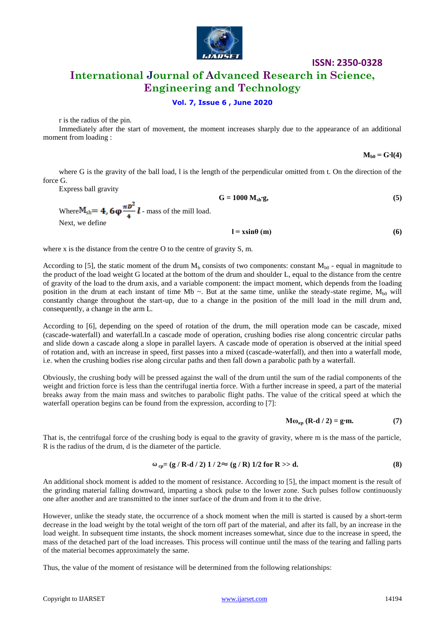

# **International Journal of Advanced Research in Science, Engineering and Technology**

## **Vol. 7, Issue 6 , June 2020**

r is the radius of the pin.

Immediately after the start of movement, the moment increases sharply due to the appearance of an additional moment from loading :

 $M_{b0} = G·l(4)$ 

where G is the gravity of the ball load, l is the length of the perpendicular omitted from t. On the direction of the force G.

Express ball gravity

 $G = 1000 M_{sh} \cdot g,$  (5) Where  $M_{\rm sh} = 4$ ,  $6\varphi \frac{\pi D^2}{4} l$  - mass of the mill load. Next, we define  $l = x\sin\theta$  (m) (6)

where x is the distance from the centre O to the centre of gravity S, m.

According to [5], the static moment of the drum  $M_b$  consists of two components: constant  $M_{b0}$  - equal in magnitude to the product of the load weight G located at the bottom of the drum and shoulder L, equal to the distance from the centre of gravity of the load to the drum axis, and a variable component: the impact moment, which depends from the loading position in the drum at each instant of time Mb  $\sim$ . But at the same time, unlike the steady-state regime,  $M_{h0}$  will constantly change throughout the start-up, due to a change in the position of the mill load in the mill drum and, consequently, a change in the arm L.

According to [6], depending on the speed of rotation of the drum, the mill operation mode can be cascade, mixed (cascade-waterfall) and waterfall.In a cascade mode of operation, crushing bodies rise along concentric circular paths and slide down a cascade along a slope in parallel layers. A cascade mode of operation is observed at the initial speed of rotation and, with an increase in speed, first passes into a mixed (cascade-waterfall), and then into a waterfall mode, i.e. when the crushing bodies rise along circular paths and then fall down a parabolic path by a waterfall.

Obviously, the crushing body will be pressed against the wall of the drum until the sum of the radial components of the weight and friction force is less than the centrifugal inertia force. With a further increase in speed, a part of the material breaks away from the main mass and switches to parabolic flight paths. The value of the critical speed at which the waterfall operation begins can be found from the expression, according to [7]:

$$
M\omega_{\kappa p} (R-d/2) = g \cdot m. \tag{7}
$$

That is, the centrifugal force of the crushing body is equal to the gravity of gravity, where m is the mass of the particle, R is the radius of the drum, d is the diameter of the particle.

$$
\omega_{\rm cp} = (g / R \cdot d / 2) \, 1 / 2 \approx (g / R) \, 1/2 \text{ for } R >> d. \tag{8}
$$

An additional shock moment is added to the moment of resistance. According to [5], the impact moment is the result of the grinding material falling downward, imparting a shock pulse to the lower zone. Such pulses follow continuously one after another and are transmitted to the inner surface of the drum and from it to the drive.

However, unlike the steady state, the occurrence of a shock moment when the mill is started is caused by a short-term decrease in the load weight by the total weight of the torn off part of the material, and after its fall, by an increase in the load weight. In subsequent time instants, the shock moment increases somewhat, since due to the increase in speed, the mass of the detached part of the load increases. This process will continue until the mass of the tearing and falling parts of the material becomes approximately the same.

Thus, the value of the moment of resistance will be determined from the following relationships: